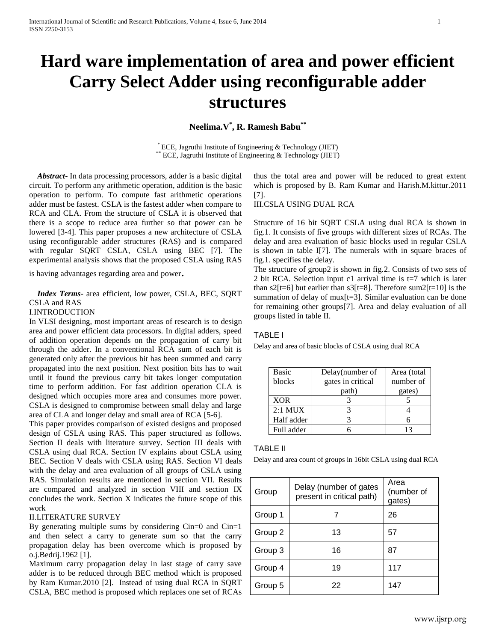# **Hard ware implementation of area and power efficient Carry Select Adder using reconfigurable adder structures**

**Neelima.V \* , R. Ramesh Babu\*\***

\* ECE, Jagruthi Institute of Engineering & Technology (JIET)  $*$  ECE, Jagruthi Institute of Engineering & Technology (JIET)

 *Abstract***-** In data processing processors, adder is a basic digital circuit. To perform any arithmetic operation, addition is the basic operation to perform. To compute fast arithmetic operations adder must be fastest. CSLA is the fastest adder when compare to RCA and CLA. From the structure of CSLA it is observed that there is a scope to reduce area further so that power can be lowered [3-4]. This paper proposes a new architecture of CSLA using reconfigurable adder structures (RAS) and is compared with regular SQRT CSLA, CSLA using BEC [7]. The experimental analysis shows that the proposed CSLA using RAS

is having advantages regarding area and power.

 *Index Terms*- area efficient, low power, CSLA, BEC, SQRT CSLA and RAS

#### I.INTRODUCTION

In VLSI designing, most important areas of research is to design area and power efficient data processors. In digital adders, speed of addition operation depends on the propagation of carry bit through the adder. In a conventional RCA sum of each bit is generated only after the previous bit has been summed and carry propagated into the next position. Next position bits has to wait until it found the previous carry bit takes longer computation time to perform addition. For fast addition operation CLA is designed which occupies more area and consumes more power. CSLA is designed to compromise between small delay and large area of CLA and longer delay and small area of RCA [5-6].

This paper provides comparison of existed designs and proposed design of CSLA using RAS. This paper structured as follows. Section II deals with literature survey. Section III deals with CSLA using dual RCA. Section IV explains about CSLA using BEC. Section V deals with CSLA using RAS. Section VI deals with the delay and area evaluation of all groups of CSLA using RAS. Simulation results are mentioned in section VII. Results are compared and analyzed in section VIII and section IX concludes the work. Section X indicates the future scope of this work

# II.LITERATURE SURVEY

By generating multiple sums by considering Cin=0 and Cin=1 and then select a carry to generate sum so that the carry propagation delay has been overcome which is proposed by o.j.Bedrij.1962 [1].

Maximum carry propagation delay in last stage of carry save adder is to be reduced through BEC method which is proposed by Ram Kumar.2010 [2]. Instead of using dual RCA in SQRT CSLA, BEC method is proposed which replaces one set of RCAs

thus the total area and power will be reduced to great extent which is proposed by B. Ram Kumar and Harish.M.kittur.2011 [7].

III.CSLA USING DUAL RCA

Structure of 16 bit SQRT CSLA using dual RCA is shown in fig.1. It consists of five groups with different sizes of RCAs. The delay and area evaluation of basic blocks used in regular CSLA is shown in table I[7]. The numerals with in square braces of fig.1. specifies the delay.

The structure of group2 is shown in fig.2. Consists of two sets of 2 bit RCA. Selection input c1 arrival time is  $t=7$  which is later than s2[t=6] but earlier than s3[t=8]. Therefore sum2[t=10] is the summation of delay of mux[t=3]. Similar evaluation can be done for remaining other groups[7]. Area and delay evaluation of all groups listed in table II.

## TABLE I

Delay and area of basic blocks of CSLA using dual RCA

| <b>Basic</b><br>blocks | Delay(number of<br>gates in critical<br>path) | Area (total<br>number of<br>gates) |
|------------------------|-----------------------------------------------|------------------------------------|
| <b>XOR</b>             |                                               |                                    |
| $2:1$ MUX              |                                               |                                    |
| Half adder             |                                               |                                    |
| Full adder             |                                               |                                    |

## TABLE II

Delay and area count of groups in 16bit CSLA using dual RCA

| Group   | Delay (number of gates<br>present in critical path) | Area<br>(number of<br>gates) |
|---------|-----------------------------------------------------|------------------------------|
| Group 1 |                                                     | 26                           |
| Group 2 | 13                                                  | 57                           |
| Group 3 | 16                                                  | 87                           |
| Group 4 | 19                                                  | 117                          |
| Group 5 | 22                                                  | 147                          |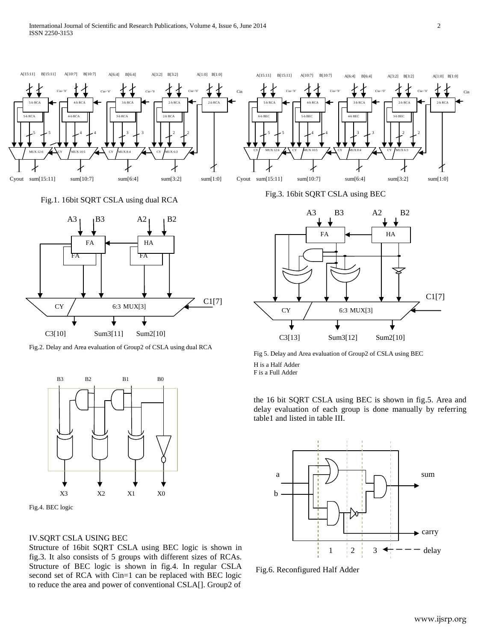

Fig.1. 16bit SQRT CSLA using dual RCA



Fig.2. Delay and Area evaluation of Group2 of CSLA using dual RCA



Fig.4. BEC logic

## IV.SQRT CSLA USING BEC

Structure of 16bit SQRT CSLA using BEC logic is shown in fig.3. It also consists of 5 groups with different sizes of RCAs. Structure of BEC logic is shown in fig.4. In regular CSLA second set of RCA with Cin=1 can be replaced with BEC logic to reduce the area and power of conventional CSLA[]. Group2 of

Fig.3. 16bit SQRT CSLA using BEC



Fig 5. Delay and Area evaluation of Group2 of CSLA using BEC H is a Half Adder F is a Full Adder

the 16 bit SQRT CSLA using BEC is shown in fig.5. Area and delay evaluation of each group is done manually by referring table1 and listed in table III.



Fig.6. Reconfigured Half Adder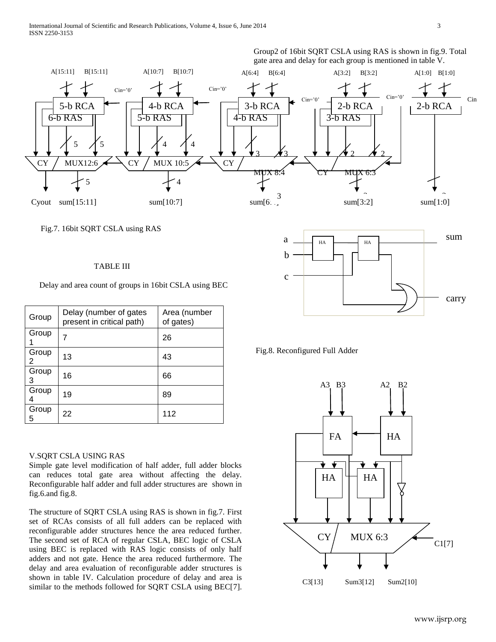Group2 of 16bit SQRT CSLA using RAS is shown in fig.9. Total gate area and delay for each group is mentioned in table V.



## Fig.7. 16bit SQRT CSLA using RAS

## TABLE III

Delay and area count of groups in 16bit CSLA using BEC

| Group      | Delay (number of gates<br>present in critical path) | Area (number<br>of gates) |
|------------|-----------------------------------------------------|---------------------------|
| Group      | 7                                                   | 26                        |
| Group<br>2 | 13                                                  | 43                        |
| Group<br>3 | 16                                                  | 66                        |
| Group      | 19                                                  | 89                        |
| Group<br>5 | 22                                                  | 112                       |

#### V.SQRT CSLA USING RAS

Simple gate level modification of half adder, full adder blocks can reduces total gate area without affecting the delay. Reconfigurable half adder and full adder structures are shown in fig.6.and fig.8.

The structure of SQRT CSLA using RAS is shown in fig.7. First set of RCAs consists of all full adders can be replaced with reconfigurable adder structures hence the area reduced further. The second set of RCA of regular CSLA, BEC logic of CSLA using BEC is replaced with RAS logic consists of only half adders and not gate. Hence the area reduced furthermore. The delay and area evaluation of reconfigurable adder structures is shown in table IV. Calculation procedure of delay and area is similar to the methods followed for SQRT CSLA using BEC[7].



Fig.8. Reconfigured Full Adder

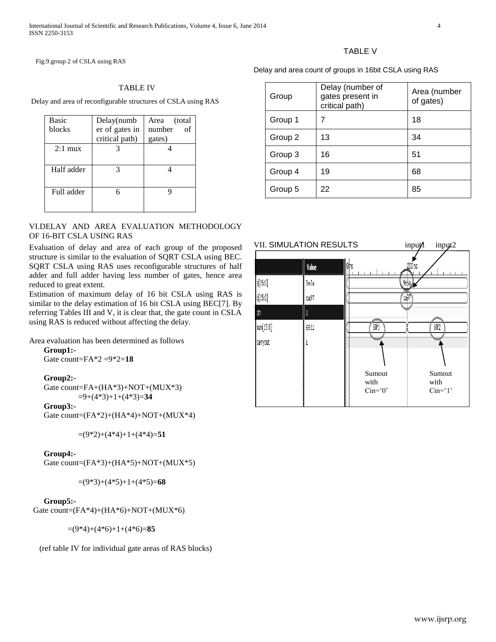Fig.9.group 2 of CSLA using RAS

#### TABLE IV

Delay and area of reconfigurable structures of CSLA using RAS

| <b>Basic</b> | Delay(numb     | Area (total  |
|--------------|----------------|--------------|
| blocks       | er of gates in | number<br>of |
|              | critical path) | gates)       |
| $2:1$ mux    |                |              |
|              |                |              |
| Half adder   |                |              |
|              |                |              |
| Full adder   |                |              |
|              |                |              |
|              |                |              |

# VI.DELAY AND AREA EVALUATION METHODOLOGY OF 16-BIT CSLA USING RAS

Evaluation of delay and area of each group of the proposed structure is similar to the evaluation of SQRT CSLA using BEC. SQRT CSLA using RAS uses reconfigurable structures of half adder and full adder having less number of gates, hence area reduced to great extent.

Estimation of maximum delay of 16 bit CSLA using RAS is similar to the delay estimation of 16 bit CSLA using BEC[7]. By referring Tables III and V, it is clear that, the gate count in CSLA using RAS is reduced without affecting the delay.

Area evaluation has been determined as follows

**Group1:-** Gate count=FA\*2 =9\*2=**18**

## **Group2:-**

Gate count=FA+(HA\*3)+NOT+(MUX\*3) =9+(4\*3)+1+(4\*3)=**34**

#### **Group3:-**

Gate count= $(FA*2)+(HA*4)+NOT+(MUX*4)$ 

 $=(9*2)+(4*4)+1+(4*4)=51$ 

# **Group4:-**

Gate count=(FA\*3)+(HA\*5)+NOT+(MUX\*5)

=(9\*3)+(4\*5)+1+(4\*5)=**68**

#### **Group5:-**

Gate count= $(FA*4)+(HA*6)+NOT+(MUX*6)$ 

=(9\*4)+(4\*6)+1+(4\*6)=**85**

(ref table IV for individual gate areas of RAS blocks)

## TABLE V

Delay and area count of groups in 16bit CSLA using RAS

| Group   | Delay (number of<br>gates present in<br>critical path) | Area (number<br>of gates) |
|---------|--------------------------------------------------------|---------------------------|
| Group 1 |                                                        | 18                        |
| Group 2 | 13                                                     | 34                        |
| Group 3 | 16                                                     | 51                        |
| Group 4 | 19                                                     | 68                        |
| Group 5 | 22                                                     | 85                        |

| <b>VII. SIMULATION RESULTS</b> |       |                    | input/  | input2         |
|--------------------------------|-------|--------------------|---------|----------------|
|                                | Value | O <mark>n</mark> s | 1200 ns |                |
| d[15:0]                        | 9e5a  |                    | 9еБа    |                |
| b[15:0]                        | ca97  |                    | ′caþ7   |                |
| d'n                            | 0     |                    |         |                |
| sum[15:0]                      | 68f1  | 601                |         | 68f2           |
| carryout                       |       |                    |         |                |
|                                |       |                    |         |                |
|                                |       | Sumout<br>with     |         | Sumout<br>with |
|                                |       | $Cin=0$            |         | $Cin="1$ '     |
|                                |       |                    |         |                |